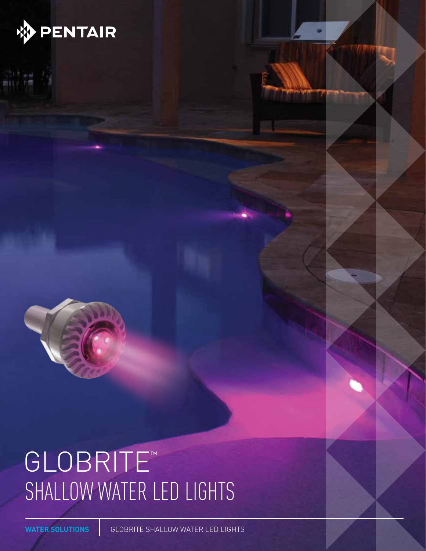

# GLOBRITE™ SHALLOW WATER LED LIGHTS

**WATER SOLUTIONS** GLOBRITE SHALLOW WATER LED LIGHTS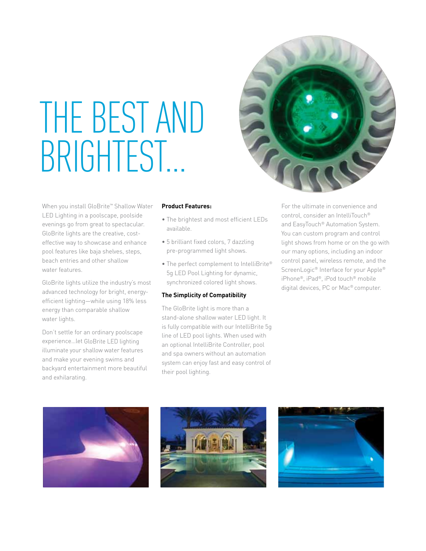# THE BEST AND BRIGHTEST…

When you install GloBrite™ Shallow Water LED Lighting in a poolscape, poolside evenings go from great to spectacular. GloBrite lights are the creative, costeffective way to showcase and enhance pool features like baja shelves, steps, beach entries and other shallow water features.

GloBrite lights utilize the industry's most advanced technology for bright, energyefficient lighting—while using 18% less energy than comparable shallow water lights.

Don't settle for an ordinary poolscape experience…let GloBrite LED lighting illuminate your shallow water features and make your evening swims and backyard entertainment more beautiful and exhilarating.

## **Product Features:**

- The brightest and most efficient LEDs available.
- 5 brilliant fixed colors, 7 dazzling pre-programmed light shows.
- The perfect complement to IntelliBrite® 5g LED Pool Lighting for dynamic, synchronized colored light shows.

## **The Simplicity of Compatibility**

The GloBrite light is more than a stand-alone shallow water LED light. It is fully compatible with our IntelliBrite 5g line of LED pool lights. When used with an optional IntelliBrite Controller, pool and spa owners without an automation system can enjoy fast and easy control of their pool lighting.



For the ultimate in convenience and control, consider an IntelliTouch® and EasyTouch® Automation System. You can custom program and control light shows from home or on the go with our many options, including an indoor control panel, wireless remote, and the ScreenLogic<sup>®</sup> Interface for your Apple<sup>®</sup> iPhone®, iPad®, iPod touch® mobile digital devices, PC or Mac® computer.





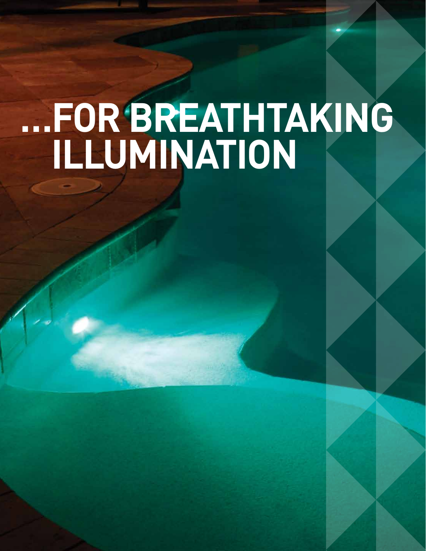# ...FOR BREATHTAKING<br>ILLUMINATION